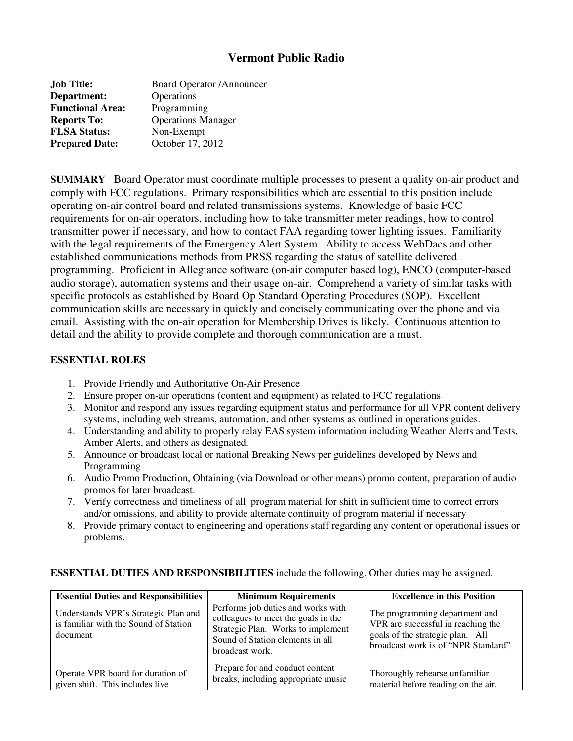# **Vermont Public Radio**

| <b>Job Title:</b>       | <b>Board Operator /Announcer</b> |  |
|-------------------------|----------------------------------|--|
| Department:             | Operations                       |  |
| <b>Functional Area:</b> | Programming                      |  |
| <b>Reports To:</b>      | <b>Operations Manager</b>        |  |
| <b>FLSA Status:</b>     | Non-Exempt                       |  |
| <b>Prepared Date:</b>   | October 17, 2012                 |  |

**SUMMARY** Board Operator must coordinate multiple processes to present a quality on-air product and comply with FCC regulations. Primary responsibilities which are essential to this position include operating on-air control board and related transmissions systems. Knowledge of basic FCC requirements for on-air operators, including how to take transmitter meter readings, how to control transmitter power if necessary, and how to contact FAA regarding tower lighting issues. Familiarity with the legal requirements of the Emergency Alert System. Ability to access WebDacs and other established communications methods from PRSS regarding the status of satellite delivered programming. Proficient in Allegiance software (on-air computer based log), ENCO (computer-based audio storage), automation systems and their usage on-air. Comprehend a variety of similar tasks with specific protocols as established by Board Op Standard Operating Procedures (SOP). Excellent communication skills are necessary in quickly and concisely communicating over the phone and via email. Assisting with the on-air operation for Membership Drives is likely. Continuous attention to detail and the ability to provide complete and thorough communication are a must.

### **ESSENTIAL ROLES**

- 1. Provide Friendly and Authoritative On-Air Presence
- 2. Ensure proper on-air operations (content and equipment) as related to FCC regulations
- 3. Monitor and respond any issues regarding equipment status and performance for all VPR content delivery systems, including web streams, automation, and other systems as outlined in operations guides.
- 4. Understanding and ability to properly relay EAS system information including Weather Alerts and Tests, Amber Alerts, and others as designated.
- 5. Announce or broadcast local or national Breaking News per guidelines developed by News and Programming
- 6. Audio Promo Production, Obtaining (via Download or other means) promo content, preparation of audio promos for later broadcast.
- 7. Verify correctness and timeliness of all program material for shift in sufficient time to correct errors and/or omissions, and ability to provide alternate continuity of program material if necessary
- 8. Provide primary contact to engineering and operations staff regarding any content or operational issues or problems.

| <b>Essential Duties and Responsibilities</b>                                              | <b>Minimum Requirements</b>                                                                                                                                            | <b>Excellence in this Position</b>                                                                                                              |
|-------------------------------------------------------------------------------------------|------------------------------------------------------------------------------------------------------------------------------------------------------------------------|-------------------------------------------------------------------------------------------------------------------------------------------------|
| Understands VPR's Strategic Plan and<br>is familiar with the Sound of Station<br>document | Performs job duties and works with<br>colleagues to meet the goals in the<br>Strategic Plan. Works to implement<br>Sound of Station elements in all<br>broadcast work. | The programming department and<br>VPR are successful in reaching the<br>goals of the strategic plan. All<br>broadcast work is of "NPR Standard" |
| Operate VPR board for duration of<br>given shift. This includes live                      | Prepare for and conduct content<br>breaks, including appropriate music                                                                                                 | Thoroughly rehearse unfamiliar<br>material before reading on the air.                                                                           |

## **ESSENTIAL DUTIES AND RESPONSIBILITIES** include the following. Other duties may be assigned.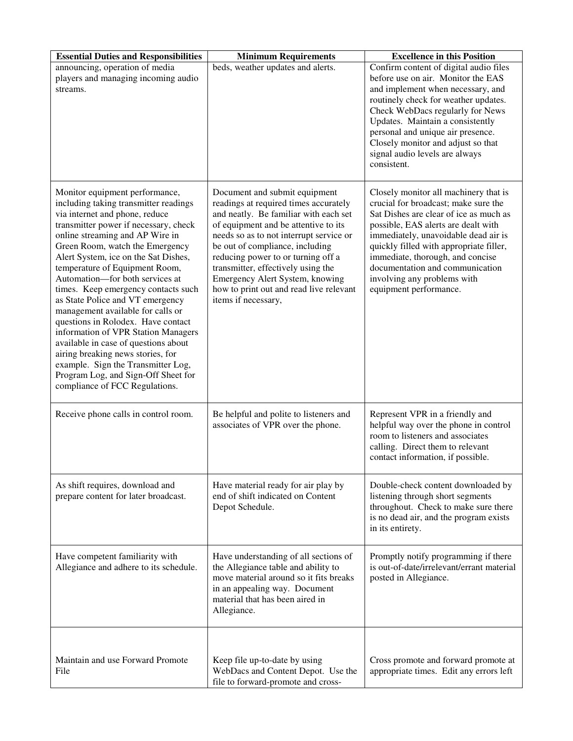| <b>Essential Duties and Responsibilities</b>                                                                                                                                                                                                                                                                                                                                                                                                                                                                                                                                                                                                                                                                                   | <b>Minimum Requirements</b>                                                                                                                                                                                                                                                                                                                                                                                            | <b>Excellence in this Position</b>                                                                                                                                                                                                                                                                                                                                                |
|--------------------------------------------------------------------------------------------------------------------------------------------------------------------------------------------------------------------------------------------------------------------------------------------------------------------------------------------------------------------------------------------------------------------------------------------------------------------------------------------------------------------------------------------------------------------------------------------------------------------------------------------------------------------------------------------------------------------------------|------------------------------------------------------------------------------------------------------------------------------------------------------------------------------------------------------------------------------------------------------------------------------------------------------------------------------------------------------------------------------------------------------------------------|-----------------------------------------------------------------------------------------------------------------------------------------------------------------------------------------------------------------------------------------------------------------------------------------------------------------------------------------------------------------------------------|
| announcing, operation of media<br>players and managing incoming audio<br>streams.                                                                                                                                                                                                                                                                                                                                                                                                                                                                                                                                                                                                                                              | beds, weather updates and alerts.                                                                                                                                                                                                                                                                                                                                                                                      | Confirm content of digital audio files<br>before use on air. Monitor the EAS<br>and implement when necessary, and<br>routinely check for weather updates.<br>Check WebDacs regularly for News<br>Updates. Maintain a consistently<br>personal and unique air presence.<br>Closely monitor and adjust so that<br>signal audio levels are always<br>consistent.                     |
| Monitor equipment performance,<br>including taking transmitter readings<br>via internet and phone, reduce<br>transmitter power if necessary, check<br>online streaming and AP Wire in<br>Green Room, watch the Emergency<br>Alert System, ice on the Sat Dishes,<br>temperature of Equipment Room,<br>Automation-for both services at<br>times. Keep emergency contacts such<br>as State Police and VT emergency<br>management available for calls or<br>questions in Rolodex. Have contact<br>information of VPR Station Managers<br>available in case of questions about<br>airing breaking news stories, for<br>example. Sign the Transmitter Log,<br>Program Log, and Sign-Off Sheet for<br>compliance of FCC Regulations. | Document and submit equipment<br>readings at required times accurately<br>and neatly. Be familiar with each set<br>of equipment and be attentive to its<br>needs so as to not interrupt service or<br>be out of compliance, including<br>reducing power to or turning off a<br>transmitter, effectively using the<br>Emergency Alert System, knowing<br>how to print out and read live relevant<br>items if necessary, | Closely monitor all machinery that is<br>crucial for broadcast; make sure the<br>Sat Dishes are clear of ice as much as<br>possible, EAS alerts are dealt with<br>immediately, unavoidable dead air is<br>quickly filled with appropriate filler,<br>immediate, thorough, and concise<br>documentation and communication<br>involving any problems with<br>equipment performance. |
| Receive phone calls in control room.                                                                                                                                                                                                                                                                                                                                                                                                                                                                                                                                                                                                                                                                                           | Be helpful and polite to listeners and<br>associates of VPR over the phone.                                                                                                                                                                                                                                                                                                                                            | Represent VPR in a friendly and<br>helpful way over the phone in control<br>room to listeners and associates<br>calling. Direct them to relevant<br>contact information, if possible.                                                                                                                                                                                             |
| As shift requires, download and<br>prepare content for later broadcast.                                                                                                                                                                                                                                                                                                                                                                                                                                                                                                                                                                                                                                                        | Have material ready for air play by<br>end of shift indicated on Content<br>Depot Schedule.                                                                                                                                                                                                                                                                                                                            | Double-check content downloaded by<br>listening through short segments<br>throughout. Check to make sure there<br>is no dead air, and the program exists<br>in its entirety.                                                                                                                                                                                                      |
| Have competent familiarity with<br>Allegiance and adhere to its schedule.                                                                                                                                                                                                                                                                                                                                                                                                                                                                                                                                                                                                                                                      | Have understanding of all sections of<br>the Allegiance table and ability to<br>move material around so it fits breaks<br>in an appealing way. Document<br>material that has been aired in<br>Allegiance.                                                                                                                                                                                                              | Promptly notify programming if there<br>is out-of-date/irrelevant/errant material<br>posted in Allegiance.                                                                                                                                                                                                                                                                        |
| Maintain and use Forward Promote<br>File                                                                                                                                                                                                                                                                                                                                                                                                                                                                                                                                                                                                                                                                                       | Keep file up-to-date by using<br>WebDacs and Content Depot. Use the<br>file to forward-promote and cross-                                                                                                                                                                                                                                                                                                              | Cross promote and forward promote at<br>appropriate times. Edit any errors left                                                                                                                                                                                                                                                                                                   |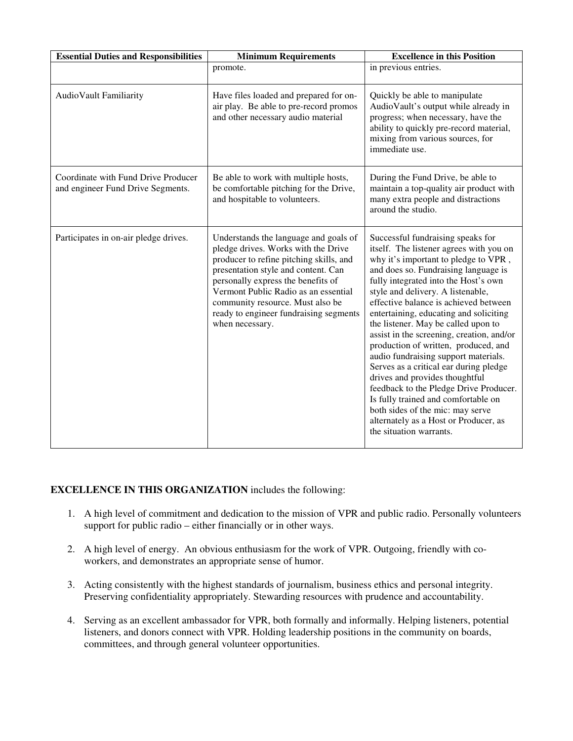| <b>Essential Duties and Responsibilities</b>                             | <b>Minimum Requirements</b>                                                                                                                                                                                                                                                                                                                   | <b>Excellence in this Position</b>                                                                                                                                                                                                                                                                                                                                                                                                                                                                                                                                                                                                                                                                                                                                    |
|--------------------------------------------------------------------------|-----------------------------------------------------------------------------------------------------------------------------------------------------------------------------------------------------------------------------------------------------------------------------------------------------------------------------------------------|-----------------------------------------------------------------------------------------------------------------------------------------------------------------------------------------------------------------------------------------------------------------------------------------------------------------------------------------------------------------------------------------------------------------------------------------------------------------------------------------------------------------------------------------------------------------------------------------------------------------------------------------------------------------------------------------------------------------------------------------------------------------------|
|                                                                          | promote.                                                                                                                                                                                                                                                                                                                                      | in previous entries.                                                                                                                                                                                                                                                                                                                                                                                                                                                                                                                                                                                                                                                                                                                                                  |
| AudioVault Familiarity                                                   | Have files loaded and prepared for on-<br>air play. Be able to pre-record promos<br>and other necessary audio material                                                                                                                                                                                                                        | Quickly be able to manipulate<br>AudioVault's output while already in<br>progress; when necessary, have the<br>ability to quickly pre-record material,<br>mixing from various sources, for<br>immediate use.                                                                                                                                                                                                                                                                                                                                                                                                                                                                                                                                                          |
| Coordinate with Fund Drive Producer<br>and engineer Fund Drive Segments. | Be able to work with multiple hosts,<br>be comfortable pitching for the Drive,<br>and hospitable to volunteers.                                                                                                                                                                                                                               | During the Fund Drive, be able to<br>maintain a top-quality air product with<br>many extra people and distractions<br>around the studio.                                                                                                                                                                                                                                                                                                                                                                                                                                                                                                                                                                                                                              |
| Participates in on-air pledge drives.                                    | Understands the language and goals of<br>pledge drives. Works with the Drive<br>producer to refine pitching skills, and<br>presentation style and content. Can<br>personally express the benefits of<br>Vermont Public Radio as an essential<br>community resource. Must also be<br>ready to engineer fundraising segments<br>when necessary. | Successful fundraising speaks for<br>itself. The listener agrees with you on<br>why it's important to pledge to VPR,<br>and does so. Fundraising language is<br>fully integrated into the Host's own<br>style and delivery. A listenable,<br>effective balance is achieved between<br>entertaining, educating and soliciting<br>the listener. May be called upon to<br>assist in the screening, creation, and/or<br>production of written, produced, and<br>audio fundraising support materials.<br>Serves as a critical ear during pledge<br>drives and provides thoughtful<br>feedback to the Pledge Drive Producer.<br>Is fully trained and comfortable on<br>both sides of the mic: may serve<br>alternately as a Host or Producer, as<br>the situation warrants. |

### **EXCELLENCE IN THIS ORGANIZATION** includes the following:

- 1. A high level of commitment and dedication to the mission of VPR and public radio. Personally volunteers support for public radio – either financially or in other ways.
- 2. A high level of energy. An obvious enthusiasm for the work of VPR. Outgoing, friendly with coworkers, and demonstrates an appropriate sense of humor.
- 3. Acting consistently with the highest standards of journalism, business ethics and personal integrity. Preserving confidentiality appropriately. Stewarding resources with prudence and accountability.
- 4. Serving as an excellent ambassador for VPR, both formally and informally. Helping listeners, potential listeners, and donors connect with VPR. Holding leadership positions in the community on boards, committees, and through general volunteer opportunities.